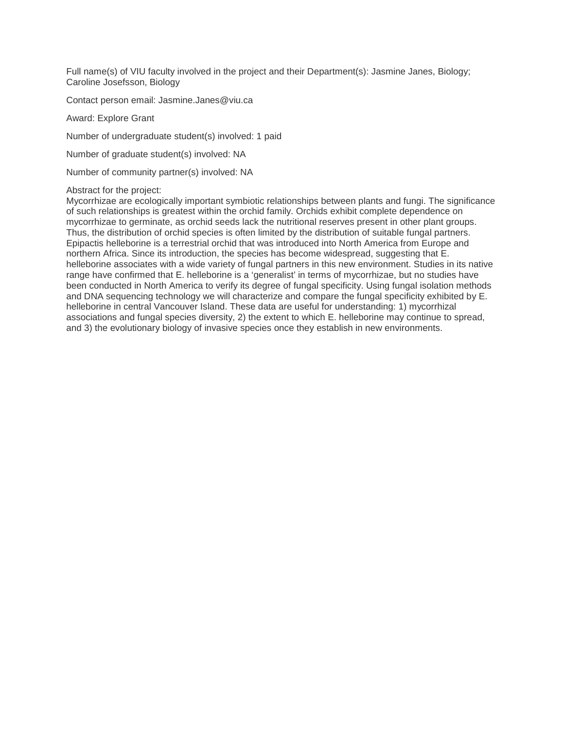Full name(s) of VIU faculty involved in the project and their Department(s): Jasmine Janes, Biology; Caroline Josefsson, Biology

Contact person email: Jasmine.Janes@viu.ca

Award: Explore Grant

Number of undergraduate student(s) involved: 1 paid

Number of graduate student(s) involved: NA

Number of community partner(s) involved: NA

#### Abstract for the project:

Mycorrhizae are ecologically important symbiotic relationships between plants and fungi. The significance of such relationships is greatest within the orchid family. Orchids exhibit complete dependence on mycorrhizae to germinate, as orchid seeds lack the nutritional reserves present in other plant groups. Thus, the distribution of orchid species is often limited by the distribution of suitable fungal partners. Epipactis helleborine is a terrestrial orchid that was introduced into North America from Europe and northern Africa. Since its introduction, the species has become widespread, suggesting that E. helleborine associates with a wide variety of fungal partners in this new environment. Studies in its native range have confirmed that E. helleborine is a 'generalist' in terms of mycorrhizae, but no studies have been conducted in North America to verify its degree of fungal specificity. Using fungal isolation methods and DNA sequencing technology we will characterize and compare the fungal specificity exhibited by E. helleborine in central Vancouver Island. These data are useful for understanding: 1) mycorrhizal associations and fungal species diversity, 2) the extent to which E. helleborine may continue to spread, and 3) the evolutionary biology of invasive species once they establish in new environments.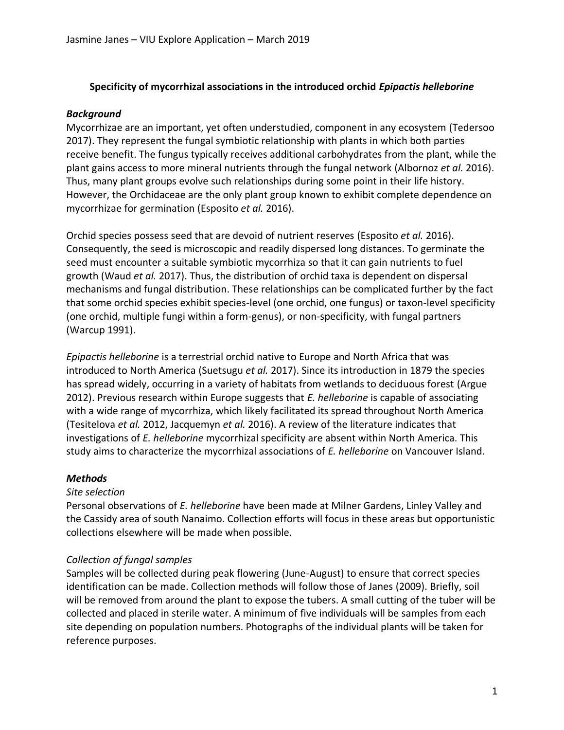#### **Specificity of mycorrhizal associations in the introduced orchid** *Epipactis helleborine*

#### *Background*

Mycorrhizae are an important, yet often understudied, component in any ecosystem (Tedersoo 2017). They represent the fungal symbiotic relationship with plants in which both parties receive benefit. The fungus typically receives additional carbohydrates from the plant, while the plant gains access to more mineral nutrients through the fungal network (Albornoz *et al.* 2016). Thus, many plant groups evolve such relationships during some point in their life history. However, the Orchidaceae are the only plant group known to exhibit complete dependence on mycorrhizae for germination (Esposito *et al.* 2016).

Orchid species possess seed that are devoid of nutrient reserves (Esposito *et al.* 2016). Consequently, the seed is microscopic and readily dispersed long distances. To germinate the seed must encounter a suitable symbiotic mycorrhiza so that it can gain nutrients to fuel growth (Waud *et al.* 2017). Thus, the distribution of orchid taxa is dependent on dispersal mechanisms and fungal distribution. These relationships can be complicated further by the fact that some orchid species exhibit species-level (one orchid, one fungus) or taxon-level specificity (one orchid, multiple fungi within a form-genus), or non-specificity, with fungal partners (Warcup 1991).

*Epipactis helleborine* is a terrestrial orchid native to Europe and North Africa that was introduced to North America (Suetsugu *et al.* 2017). Since its introduction in 1879 the species has spread widely, occurring in a variety of habitats from wetlands to deciduous forest (Argue 2012). Previous research within Europe suggests that *E. helleborine* is capable of associating with a wide range of mycorrhiza, which likely facilitated its spread throughout North America (Tesitelova *et al.* 2012, Jacquemyn *et al.* 2016). A review of the literature indicates that investigations of *E. helleborine* mycorrhizal specificity are absent within North America. This study aims to characterize the mycorrhizal associations of *E. helleborine* on Vancouver Island.

# *Methods*

#### *Site selection*

Personal observations of *E. helleborine* have been made at Milner Gardens, Linley Valley and the Cassidy area of south Nanaimo. Collection efforts will focus in these areas but opportunistic collections elsewhere will be made when possible.

# *Collection of fungal samples*

Samples will be collected during peak flowering (June-August) to ensure that correct species identification can be made. Collection methods will follow those of Janes (2009). Briefly, soil will be removed from around the plant to expose the tubers. A small cutting of the tuber will be collected and placed in sterile water. A minimum of five individuals will be samples from each site depending on population numbers. Photographs of the individual plants will be taken for reference purposes.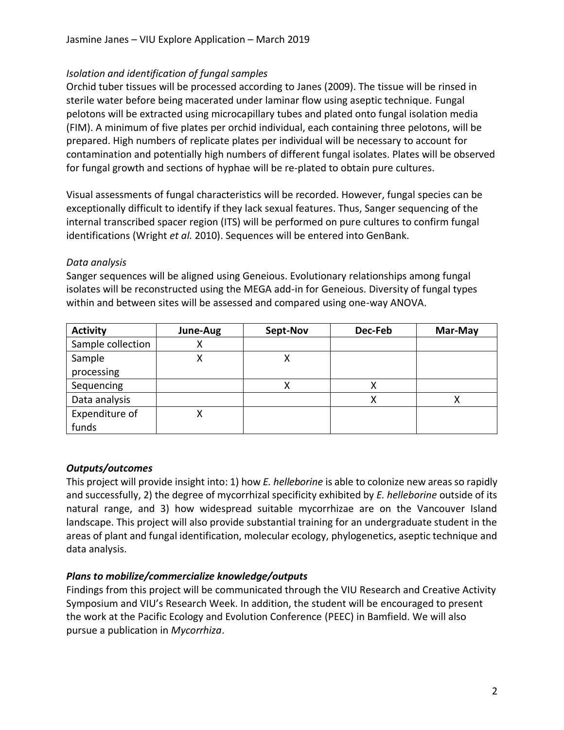# *Isolation and identification of fungal samples*

Orchid tuber tissues will be processed according to Janes (2009). The tissue will be rinsed in sterile water before being macerated under laminar flow using aseptic technique. Fungal pelotons will be extracted using microcapillary tubes and plated onto fungal isolation media (FIM). A minimum of five plates per orchid individual, each containing three pelotons, will be prepared. High numbers of replicate plates per individual will be necessary to account for contamination and potentially high numbers of different fungal isolates. Plates will be observed for fungal growth and sections of hyphae will be re-plated to obtain pure cultures.

Visual assessments of fungal characteristics will be recorded. However, fungal species can be exceptionally difficult to identify if they lack sexual features. Thus, Sanger sequencing of the internal transcribed spacer region (ITS) will be performed on pure cultures to confirm fungal identifications (Wright *et al.* 2010). Sequences will be entered into GenBank.

#### *Data analysis*

Sanger sequences will be aligned using Geneious. Evolutionary relationships among fungal isolates will be reconstructed using the MEGA add-in for Geneious. Diversity of fungal types within and between sites will be assessed and compared using one-way ANOVA.

| <b>Activity</b>   | June-Aug | Sept-Nov | Dec-Feb | Mar-May |
|-------------------|----------|----------|---------|---------|
| Sample collection |          |          |         |         |
| Sample            |          | х        |         |         |
| processing        |          |          |         |         |
| Sequencing        |          | х        |         |         |
| Data analysis     |          |          |         |         |
| Expenditure of    |          |          |         |         |
| funds             |          |          |         |         |

# *Outputs/outcomes*

This project will provide insight into: 1) how *E. helleborine* is able to colonize new areas so rapidly and successfully, 2) the degree of mycorrhizal specificity exhibited by *E. helleborine* outside of its natural range, and 3) how widespread suitable mycorrhizae are on the Vancouver Island landscape. This project will also provide substantial training for an undergraduate student in the areas of plant and fungal identification, molecular ecology, phylogenetics, aseptic technique and data analysis.

# *Plans to mobilize/commercialize knowledge/outputs*

Findings from this project will be communicated through the VIU Research and Creative Activity Symposium and VIU's Research Week. In addition, the student will be encouraged to present the work at the Pacific Ecology and Evolution Conference (PEEC) in Bamfield. We will also pursue a publication in *Mycorrhiza*.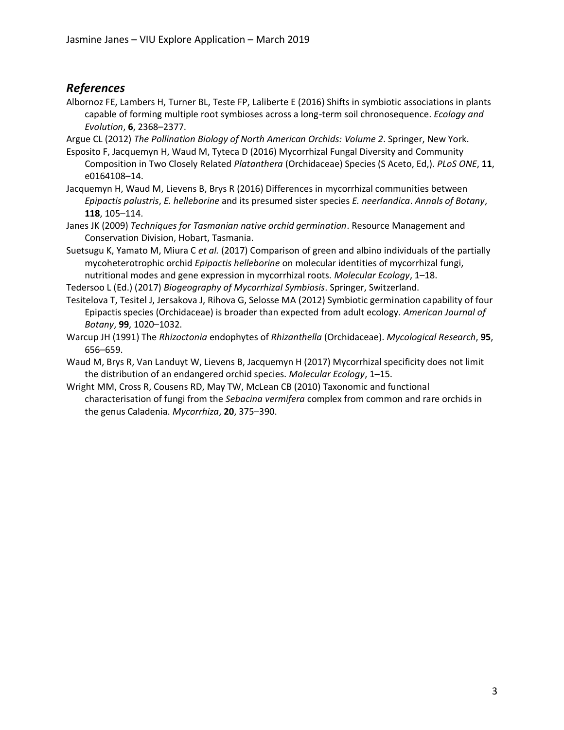# *References*

- Albornoz FE, Lambers H, Turner BL, Teste FP, Laliberte E (2016) Shifts in symbiotic associations in plants capable of forming multiple root symbioses across a long-term soil chronosequence. *Ecology and Evolution*, **6**, 2368–2377.
- Argue CL (2012) *The Pollination Biology of North American Orchids: Volume 2*. Springer, New York.
- Esposito F, Jacquemyn H, Waud M, Tyteca D (2016) Mycorrhizal Fungal Diversity and Community Composition in Two Closely Related *Platanthera* (Orchidaceae) Species (S Aceto, Ed,). *PLoS ONE*, **11**, e0164108–14.

Jacquemyn H, Waud M, Lievens B, Brys R (2016) Differences in mycorrhizal communities between *Epipactis palustris*, *E. helleborine* and its presumed sister species *E. neerlandica*. *Annals of Botany*, **118**, 105–114.

Janes JK (2009) *Techniques for Tasmanian native orchid germination*. Resource Management and Conservation Division, Hobart, Tasmania.

Suetsugu K, Yamato M, Miura C *et al.* (2017) Comparison of green and albino individuals of the partially mycoheterotrophic orchid *Epipactis helleborine* on molecular identities of mycorrhizal fungi, nutritional modes and gene expression in mycorrhizal roots. *Molecular Ecology*, 1–18.

Tedersoo L (Ed.) (2017) *Biogeography of Mycorrhizal Symbiosis*. Springer, Switzerland.

Tesitelova T, Tesitel J, Jersakova J, Rihova G, Selosse MA (2012) Symbiotic germination capability of four Epipactis species (Orchidaceae) is broader than expected from adult ecology. *American Journal of Botany*, **99**, 1020–1032.

- Warcup JH (1991) The *Rhizoctonia* endophytes of *Rhizanthella* (Orchidaceae). *Mycological Research*, **95**, 656–659.
- Waud M, Brys R, Van Landuyt W, Lievens B, Jacquemyn H (2017) Mycorrhizal specificity does not limit the distribution of an endangered orchid species. *Molecular Ecology*, 1–15.
- Wright MM, Cross R, Cousens RD, May TW, McLean CB (2010) Taxonomic and functional characterisation of fungi from the *Sebacina vermifera* complex from common and rare orchids in the genus Caladenia. *Mycorrhiza*, **20**, 375–390.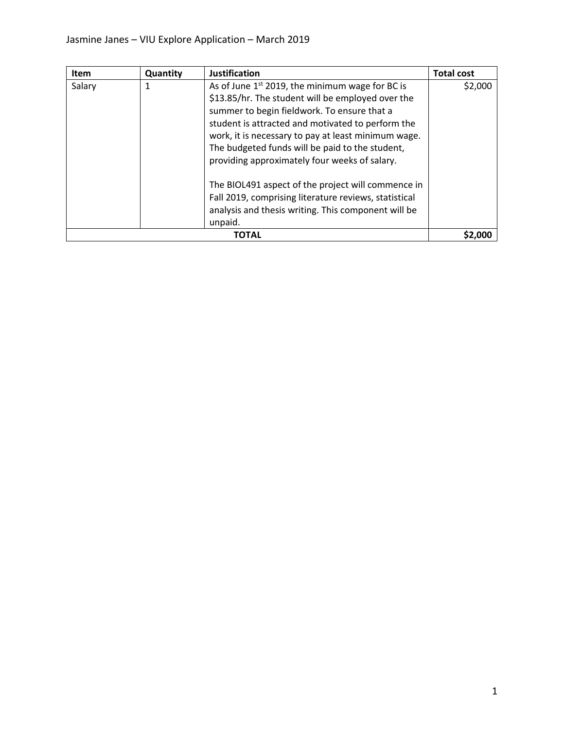| Item   | Quantity | <b>Justification</b>                                                                                                                                                                                                                                                                                                                                                                                                                                                                                                                                   | <b>Total cost</b> |
|--------|----------|--------------------------------------------------------------------------------------------------------------------------------------------------------------------------------------------------------------------------------------------------------------------------------------------------------------------------------------------------------------------------------------------------------------------------------------------------------------------------------------------------------------------------------------------------------|-------------------|
| Salary |          | As of June $1st$ 2019, the minimum wage for BC is<br>\$13.85/hr. The student will be employed over the<br>summer to begin fieldwork. To ensure that a<br>student is attracted and motivated to perform the<br>work, it is necessary to pay at least minimum wage.<br>The budgeted funds will be paid to the student,<br>providing approximately four weeks of salary.<br>The BIOL491 aspect of the project will commence in<br>Fall 2019, comprising literature reviews, statistical<br>analysis and thesis writing. This component will be<br>unpaid. | \$2,000           |
| ΤΟΤΑL  |          |                                                                                                                                                                                                                                                                                                                                                                                                                                                                                                                                                        | <b>S2.000</b>     |